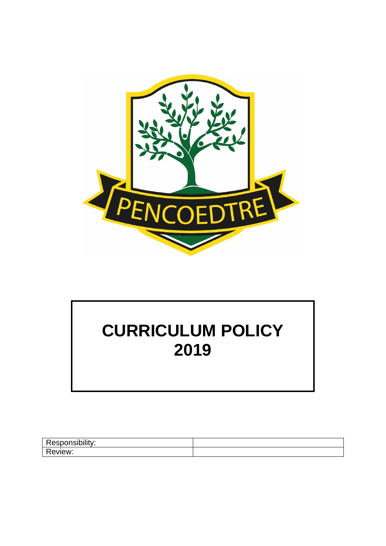

# **CURRICULUM POLICY 2019**

| <b>ALC: YES</b> |  |
|-----------------|--|
| Ð<br>IAW'       |  |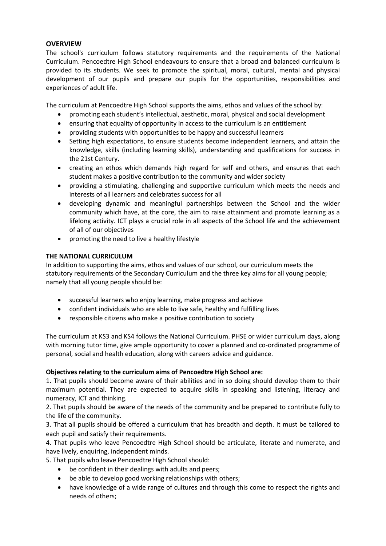# **OVERVIEW**

The school's curriculum follows statutory requirements and the requirements of the National Curriculum. Pencoedtre High School endeavours to ensure that a broad and balanced curriculum is provided to its students. We seek to promote the spiritual, moral, cultural, mental and physical development of our pupils and prepare our pupils for the opportunities, responsibilities and experiences of adult life.

The curriculum at Pencoedtre High School supports the aims, ethos and values of the school by:

- promoting each student's intellectual, aesthetic, moral, physical and social development
- ensuring that equality of opportunity in access to the curriculum is an entitlement
- providing students with opportunities to be happy and successful learners
- Setting high expectations, to ensure students become independent learners, and attain the knowledge, skills (including learning skills), understanding and qualifications for success in the 21st Century.
- creating an ethos which demands high regard for self and others, and ensures that each student makes a positive contribution to the community and wider society
- providing a stimulating, challenging and supportive curriculum which meets the needs and interests of all learners and celebrates success for all
- developing dynamic and meaningful partnerships between the School and the wider community which have, at the core, the aim to raise attainment and promote learning as a lifelong activity. ICT plays a crucial role in all aspects of the School life and the achievement of all of our objectives
- promoting the need to live a healthy lifestyle

# **THE NATIONAL CURRICULUM**

In addition to supporting the aims, ethos and values of our school, our curriculum meets the statutory requirements of the Secondary Curriculum and the three key aims for all young people; namely that all young people should be:

- successful learners who enjoy learning, make progress and achieve
- confident individuals who are able to live safe, healthy and fulfilling lives
- responsible citizens who make a positive contribution to society

The curriculum at KS3 and KS4 follows the National Curriculum. PHSE or wider curriculum days, along with morning tutor time, give ample opportunity to cover a planned and co-ordinated programme of personal, social and health education, along with careers advice and guidance.

# **Objectives relating to the curriculum aims of Pencoedtre High School are:**

1. That pupils should become aware of their abilities and in so doing should develop them to their maximum potential. They are expected to acquire skills in speaking and listening, literacy and numeracy, ICT and thinking.

2. That pupils should be aware of the needs of the community and be prepared to contribute fully to the life of the community.

3. That all pupils should be offered a curriculum that has breadth and depth. It must be tailored to each pupil and satisfy their requirements.

4. That pupils who leave Pencoedtre High School should be articulate, literate and numerate, and have lively, enquiring, independent minds.

5. That pupils who leave Pencoedtre High School should:

- be confident in their dealings with adults and peers;
- be able to develop good working relationships with others;
- have knowledge of a wide range of cultures and through this come to respect the rights and needs of others;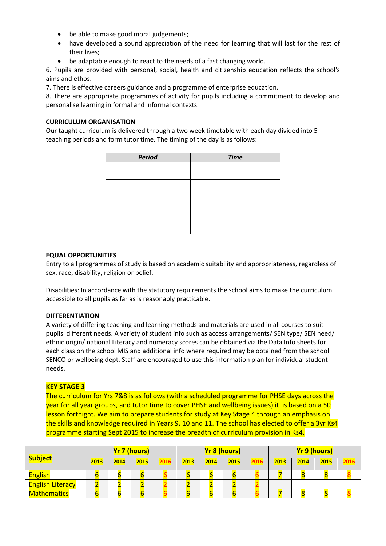- be able to make good moral judgements;
- have developed a sound appreciation of the need for learning that will last for the rest of their lives;
- be adaptable enough to react to the needs of a fast changing world.

6. Pupils are provided with personal, social, health and citizenship education reflects the school's aims and ethos.

7. There is effective careers guidance and a programme of enterprise education.

8. There are appropriate programmes of activity for pupils including a commitment to develop and personalise learning in formal and informal contexts.

## **CURRICULUM ORGANISATION**

Our taught curriculum is delivered through a two week timetable with each day divided into 5 teaching periods and form tutor time. The timing of the day is as follows:

| Period | <b>Time</b> |
|--------|-------------|
|        |             |
|        |             |
|        |             |
|        |             |
|        |             |
|        |             |
|        |             |
|        |             |

## **EQUAL OPPORTUNITIES**

Entry to all programmes of study is based on academic suitability and appropriateness, regardless of sex, race, disability, religion or belief.

Disabilities: In accordance with the statutory requirements the school aims to make the curriculum accessible to all pupils as far as is reasonably practicable.

## **DIFFERENTIATION**

A variety of differing teaching and learning methods and materials are used in all courses to suit pupils' different needs. A variety of student info such as access arrangements/ SEN type/ SEN need/ ethnic origin/ national Literacy and numeracy scores can be obtained via the Data Info sheets for each class on the school MIS and additional info where required may be obtained from the school SENCO or wellbeing dept. Staff are encouraged to use this information plan for individual student needs.

# **KEY STAGE 3**

The curriculum for Yrs 7&8 is as follows (with a scheduled programme for PHSE days across the year for all year groups, and tutor time to cover PHSE and wellbeing issues) it is based on a 50 lesson fortnight. We aim to prepare students for study at Key Stage 4 through an emphasis on the skills and knowledge required in Years 9, 10 and 11. The school has elected to offer a 3yr Ks4 programme starting Sept 2015 to increase the breadth of curriculum provision in Ks4.

|                         |      |      | <b>Yr 7 (hours)</b> |      |      |      | <b>Yr 8 (hours)</b> |      |      |      | <b>Yr 9 (hours)</b> |      |
|-------------------------|------|------|---------------------|------|------|------|---------------------|------|------|------|---------------------|------|
| <b>Subject</b>          | 2013 | 2014 | 2015                | 2016 | 2013 | 2014 | 2015                | 2016 | 2013 | 2014 | 2015                | 2016 |
| <b>English</b>          |      |      |                     |      |      |      |                     |      |      |      |                     |      |
| <b>English Literacy</b> |      |      |                     |      |      |      |                     |      |      |      |                     |      |
| <b>Mathematics</b>      |      |      |                     |      |      |      |                     |      |      |      |                     |      |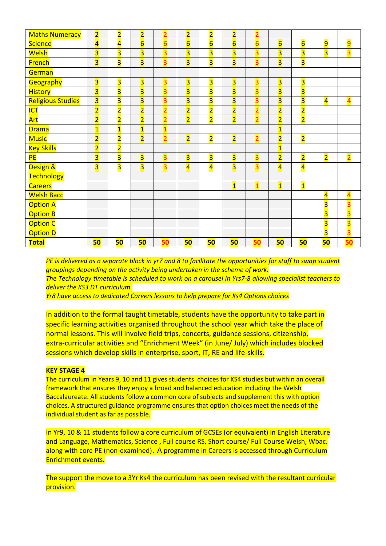| <b>Maths Numeracy</b>    | $\overline{2}$          | $\overline{\mathbf{2}}$ | $\overline{2}$          | 2              | $\overline{2}$          | $\overline{2}$          | $\overline{2}$          | $\overline{2}$          |                         |                         |                         |                         |
|--------------------------|-------------------------|-------------------------|-------------------------|----------------|-------------------------|-------------------------|-------------------------|-------------------------|-------------------------|-------------------------|-------------------------|-------------------------|
| <b>Science</b>           | $\overline{\mathbf{4}}$ | $\overline{\mathbf{4}}$ | $6\overline{6}$         | 6              | $6\overline{6}$         | $6\overline{6}$         | $6\overline{6}$         | $\overline{6}$          | $6\overline{6}$         | $6\overline{6}$         | 9                       | 9                       |
| Welsh                    | $\overline{\mathbf{3}}$ | $\overline{\mathbf{3}}$ | $\overline{\mathbf{3}}$ | 3              | $\overline{\mathbf{3}}$ | $\overline{\mathbf{3}}$ | $\overline{\mathbf{3}}$ | $\overline{\mathbf{3}}$ | $\overline{\mathbf{3}}$ | $\overline{\mathbf{3}}$ | $\overline{\mathbf{3}}$ | $\overline{\mathbf{3}}$ |
| <b>French</b>            | $\overline{\mathbf{3}}$ | $\overline{\mathbf{3}}$ | $\overline{\mathbf{3}}$ | 3              | $\overline{\mathbf{3}}$ | $\overline{\mathbf{3}}$ | $\overline{\mathbf{3}}$ | $\overline{\mathbf{3}}$ | $\overline{\mathbf{3}}$ | $\overline{\mathbf{3}}$ |                         |                         |
| German                   |                         |                         |                         |                |                         |                         |                         |                         |                         |                         |                         |                         |
| Geography                | $\overline{\mathbf{3}}$ | $\overline{\mathbf{3}}$ | $\overline{\mathbf{3}}$ | 3              | $\overline{\mathbf{3}}$ | $\overline{\mathbf{3}}$ | $\overline{\mathbf{3}}$ | $\overline{\mathbf{3}}$ | $\overline{\mathbf{3}}$ | $\overline{\mathbf{3}}$ |                         |                         |
| <b>History</b>           | $\overline{\mathbf{3}}$ | $\overline{\mathbf{3}}$ | $\overline{\mathbf{3}}$ | 3              | $\overline{\mathbf{3}}$ | $\overline{\mathbf{3}}$ | $\overline{\mathbf{3}}$ | $\overline{\mathbf{3}}$ | $\overline{\mathbf{3}}$ | $\overline{\mathbf{3}}$ |                         |                         |
| <b>Religious Studies</b> | $\overline{\mathbf{3}}$ | $\overline{\mathbf{3}}$ | $\overline{\mathbf{3}}$ | 3              | $\overline{\mathbf{3}}$ | $\overline{\mathbf{3}}$ | $\overline{\mathbf{3}}$ | $\overline{\mathbf{3}}$ | $\overline{\mathbf{3}}$ | 3                       | $\overline{\mathbf{4}}$ | $\overline{\mathbf{4}}$ |
| <b>ICT</b>               | $\overline{\mathbf{2}}$ | $\overline{\mathbf{2}}$ | $\overline{2}$          | $\overline{2}$ | $\overline{2}$          | $\overline{\mathbf{2}}$ | $\overline{2}$          | $\overline{2}$          | $\overline{2}$          | $\overline{\mathbf{2}}$ |                         |                         |
| Art                      | $\overline{2}$          | $\overline{\mathbf{2}}$ | $\overline{2}$          | $\overline{2}$ | $\overline{2}$          | $\overline{2}$          | $\overline{2}$          | $\overline{2}$          | $\overline{2}$          | $\overline{2}$          |                         |                         |
| <b>Drama</b>             | $\overline{\mathbf{1}}$ | $\overline{\mathbf{1}}$ | $\overline{\mathbf{1}}$ | $\overline{1}$ |                         |                         |                         |                         | $\overline{\mathbf{1}}$ |                         |                         |                         |
| <b>Music</b>             | $\overline{2}$          | $\overline{\mathbf{2}}$ | $\overline{2}$          | $\overline{2}$ | $\overline{2}$          | $\overline{2}$          | $\overline{2}$          | $\overline{2}$          | $\overline{2}$          | $\overline{\mathbf{2}}$ |                         |                         |
| <b>Key Skills</b>        | $\overline{2}$          | $\overline{\mathbf{2}}$ |                         |                |                         |                         |                         |                         | $\overline{\mathbf{1}}$ |                         |                         |                         |
| <b>PE</b>                | $\overline{\mathbf{3}}$ | $\overline{\mathbf{3}}$ | $\overline{\mathbf{3}}$ | 3              | $\overline{\mathbf{3}}$ | $\overline{\mathbf{3}}$ | $\overline{\mathbf{3}}$ | $\overline{\mathbf{3}}$ | $\overline{2}$          | $\overline{\mathbf{2}}$ | $\overline{\mathbf{2}}$ | $\overline{2}$          |
| Design &                 | $\overline{\mathbf{3}}$ | $\overline{\mathbf{3}}$ | $\overline{\mathbf{3}}$ | 3              | $\overline{\mathbf{4}}$ | $\overline{\mathbf{4}}$ | $\overline{\mathbf{3}}$ | $\overline{\mathbf{3}}$ | $\overline{\mathbf{4}}$ | $\overline{\mathbf{4}}$ |                         |                         |
| <b>Technology</b>        |                         |                         |                         |                |                         |                         |                         |                         |                         |                         |                         |                         |
| <b>Careers</b>           |                         |                         |                         |                |                         |                         | $\overline{\mathbf{1}}$ | $\mathbf{1}$            | $\overline{1}$          | $\overline{\mathbf{1}}$ |                         |                         |
| <b>Welsh Bacc</b>        |                         |                         |                         |                |                         |                         |                         |                         |                         |                         | $\overline{\mathbf{4}}$ | $\overline{\mathbf{4}}$ |
| <b>Option A</b>          |                         |                         |                         |                |                         |                         |                         |                         |                         |                         | $\overline{\mathbf{3}}$ | 3                       |
| <b>Option B</b>          |                         |                         |                         |                |                         |                         |                         |                         |                         |                         | $\overline{\mathbf{3}}$ | 3                       |
| <b>Option C</b>          |                         |                         |                         |                |                         |                         |                         |                         |                         |                         | $\overline{\mathbf{3}}$ | 3                       |
| <b>Option D</b>          |                         |                         |                         |                |                         |                         |                         |                         |                         |                         | $\overline{\mathbf{3}}$ | 3                       |
| <b>Total</b>             | 50                      | 50                      | 50                      | 50             | 50                      | 50                      | 50                      | 50                      | 50                      | 50                      | 50                      | 50                      |

*PE is delivered as a separate block in yr7 and 8 to facilitate the opportunities for staff to swap student groupings depending on the activity being undertaken in the scheme of work. The Technology timetable is scheduled to work on a carousel in Yrs7-8 allowing specialist teachers to deliver the KS3 DT curriculum.*

*Yr8 have access to dedicated Careers lessons to help prepare for Ks4 Options choices* 

In addition to the formal taught timetable, students have the opportunity to take part in specific learning activities organised throughout the school year which take the place of normal lessons. This will involve field trips, concerts, guidance sessions, citizenship, extra-curricular activities and "Enrichment Week" (in June/ July) which includes blocked sessions which develop skills in enterprise, sport, IT, RE and life-skills.

## **KEY STAGE 4**

The curriculum in Years 9, 10 and 11 gives students choices for KS4 studies but within an overall framework that ensures they enjoy a broad and balanced education including the Welsh Baccalaureate. All students follow a common core of subjects and supplement this with option choices. A structured guidance programme ensures that option choices meet the needs of the individual student as far as possible.

In Yr9, 10 & 11 students follow a core curriculum of GCSEs (or equivalent) in English Literature and Language, Mathematics, Science , Full course RS, Short course/ Full Course Welsh, Wbac. along with core PE (non-examined). A programme in Careers is accessed through Curriculum Enrichment events.

The support the move to a 3Yr Ks4 the curriculum has been revised with the resultant curricular provision.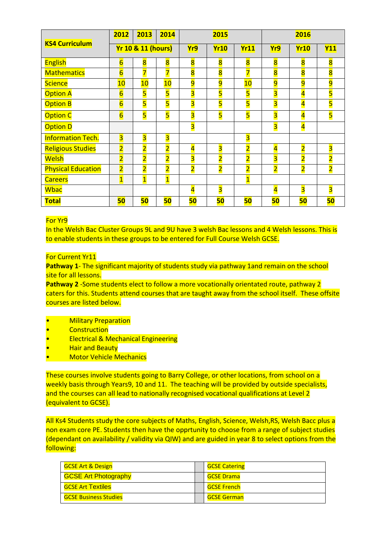|                           | 2012                    | 2013                          | 2014                    |                         | 2015                    |                         | 2016                    |                         |                         |
|---------------------------|-------------------------|-------------------------------|-------------------------|-------------------------|-------------------------|-------------------------|-------------------------|-------------------------|-------------------------|
| <b>KS4 Curriculum</b>     |                         | <b>Yr 10 &amp; 11 (hours)</b> |                         | Yr9                     | Yr11<br><b>Yr10</b>     |                         |                         | <b>Yr10</b>             | <b>Y11</b>              |
| <b>English</b>            | $6\overline{6}$         | $\overline{\mathbf{8}}$       | $\overline{\mathbf{8}}$ | $\overline{\mathbf{8}}$ | $\overline{\mathbf{8}}$ | $\overline{\mathbf{8}}$ | $\overline{\mathbf{8}}$ | $\overline{\mathbf{8}}$ | $\overline{\mathbf{8}}$ |
| <b>Mathematics</b>        | $\overline{6}$          | 7                             | 7                       | $\overline{\mathbf{8}}$ | $\overline{\mathbf{8}}$ |                         | $\overline{\mathbf{8}}$ | $\overline{\mathbf{8}}$ | 8                       |
| <b>Science</b>            | 10                      | 10                            | 10                      | $\overline{9}$          | $\overline{9}$          | 10                      | $\overline{9}$          | $\overline{9}$          | 9                       |
| <b>Option A</b>           | $6\overline{6}$         | $\overline{\mathbf{5}}$       | 5                       | 3                       | 5                       | 5                       | 3                       | $\overline{\mathbf{4}}$ | 5                       |
| <b>Option B</b>           | $6\overline{6}$         | 5                             | 5                       | 3                       | $\overline{\mathbf{5}}$ | 5                       | 3                       | $\overline{\mathbf{4}}$ | 5                       |
| <b>Option C</b>           | $6\overline{6}$         | $\overline{\mathbf{5}}$       | 5                       | $\overline{\mathbf{3}}$ | 5                       | $\overline{\mathbf{5}}$ | $\overline{\mathbf{3}}$ | $\overline{\mathbf{4}}$ | 5                       |
| <b>Option D</b>           |                         |                               |                         | $\overline{\mathbf{3}}$ |                         |                         | $\overline{\mathbf{3}}$ | $\overline{\mathbf{4}}$ |                         |
| <b>Information Tech.</b>  | $\overline{\mathbf{3}}$ | $\overline{\mathbf{3}}$       | $\overline{\mathbf{3}}$ |                         |                         | $\overline{\mathbf{3}}$ |                         |                         |                         |
| <b>Religious Studies</b>  | $\overline{2}$          | $\overline{2}$                | $\overline{2}$          | 4                       | 3                       | $\overline{2}$          | $\overline{\mathbf{4}}$ | $\overline{2}$          | 3                       |
| <b>Welsh</b>              | $\overline{2}$          | $\overline{2}$                | $\overline{2}$          | 3                       | $\overline{2}$          | $\overline{\mathbf{2}}$ | 3                       | $\overline{2}$          | $\overline{2}$          |
| <b>Physical Education</b> | $\overline{2}$          | $\overline{2}$                | $\overline{2}$          | $\overline{2}$          | $\overline{\mathbf{2}}$ | 2                       | $\overline{\mathbf{2}}$ | $\overline{2}$          | $\overline{2}$          |
| <b>Careers</b>            | $\overline{\mathbf{1}}$ | $\overline{1}$                | $\overline{\mathbf{1}}$ |                         |                         | 1                       |                         |                         |                         |
| <b>Wbac</b>               |                         |                               |                         | 4                       | $\overline{\mathbf{3}}$ |                         | $\overline{\mathbf{4}}$ | $\overline{\mathbf{3}}$ | 3                       |
| <b>Total</b>              | 50                      | 50                            | 50                      | 50                      | 50                      | 50                      | 50                      | 50                      | 50                      |

# For Yr9

In the Welsh Bac Cluster Groups 9L and 9U have 3 welsh Bac lessons and 4 Welsh lessons. This is to enable students in these groups to be entered for Full Course Welsh GCSE.

# For Current Yr11

**Pathway 1**- The significant majority of students study via pathway 1and remain on the school site for all lessons.

**Pathway 2** -Some students elect to follow a more vocationally orientated route, pathway 2 caters for this. Students attend courses that are taught away from the school itself. These offsite courses are listed below.

- Military Preparation
- **Construction**
- Electrical & Mechanical Engineering
- **Hair and Beauty**
- Motor Vehicle Mechanics

These courses involve students going to Barry College, or other locations, from school on a weekly basis through Years9, 10 and 11. The teaching will be provided by outside specialists, and the courses can all lead to nationally recognised vocational qualifications at Level 2 (equivalent to GCSE).

All Ks4 Students study the core subjects of Maths, English, Science, Welsh,RS, Welsh Bacc plus a non exam core PE. Students then have the opprtunity to choose from a range of subject studies (dependant on availability / validity via QIW) and are guided in year 8 to select options from the following:

| <b>GCSE Art &amp; Design</b> | <b>GCSE Catering</b> |  |
|------------------------------|----------------------|--|
| <b>GCSE Art Photography</b>  | <b>GCSE Drama</b>    |  |
| <b>GCSE Art Textiles</b>     | <b>GCSE French</b>   |  |
| <b>GCSE Business Studies</b> | <b>GCSE German</b>   |  |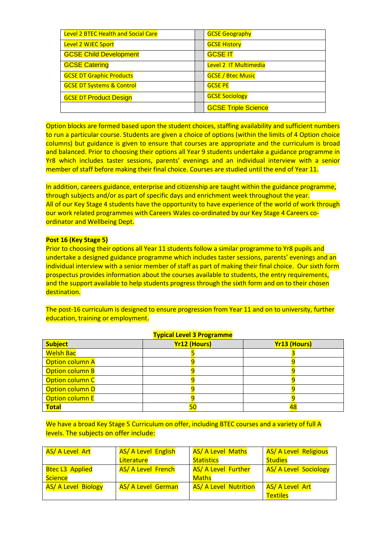| <b>Level 2 BTEC Health and Social Care</b> | <b>GCSE Geography</b>      |
|--------------------------------------------|----------------------------|
| Level 2 WJEC Sport                         | <b>GCSE History</b>        |
| <b>GCSE Child Development</b>              | <b>GCSE IT</b>             |
| <b>GCSE Catering</b>                       | Level 2 IT Multimedia      |
| <b>GCSE DT Graphic Products</b>            | <b>GCSE / Btec Music</b>   |
| <b>GCSE DT Systems &amp; Control</b>       | <b>GCSE PE</b>             |
| <b>GCSE DT Product Design</b>              | <b>GCSE Sociology</b>      |
|                                            | <b>GCSE Triple Science</b> |

Option blocks are formed based upon the student choices, staffing availability and sufficient numbers to run a particular course. Students are given a choice of options (within the limits of 4 Option choice columns) but guidance is given to ensure that courses are appropriate and the curriculum is broad and balanced. Prior to choosing their options all Year 9 students undertake a guidance programme in Yr8 which includes taster sessions, parents' evenings and an individual interview with a senior member of staff before making their final choice. Courses are studied until the end of Year 11.

In addition, careers guidance, enterprise and citizenship are taught within the guidance programme, through subjects and/or as part of specific days and enrichment week throughout the year. All of our Key Stage 4 students have the opportunity to have experience of the world of work through our work related programmes with Careers Wales co-ordinated by our Key Stage 4 Careers coordinator and Wellbeing Dept.

## **Post 16 (Key Stage 5)**

Prior to choosing their options all Year 11 students follow a similar programme to Yr8 pupils and undertake a designed guidance programme which includes taster sessions, parents' evenings and an individual interview with a senior member of staff as part of making their final choice. Our sixth form prospectus provides information about the courses available to students, the entry requirements, and the support available to help students progress through the sixth form and on to their chosen destination.

The post-16 curriculum is designed to ensure progression from Year 11 and on to university, further education, training or employment.

| <b>Typical Level 3 Programme</b> |                     |                     |  |  |  |
|----------------------------------|---------------------|---------------------|--|--|--|
| <b>Subject</b>                   | <b>Yr12 (Hours)</b> | <b>Yr13 (Hours)</b> |  |  |  |
| <b>Welsh Bac</b>                 |                     |                     |  |  |  |
| Option column A                  |                     |                     |  |  |  |
| <b>Option column B</b>           |                     |                     |  |  |  |
| Option column C                  |                     |                     |  |  |  |
| Option column D                  |                     |                     |  |  |  |
| <b>Option column E</b>           |                     |                     |  |  |  |
| <b>Total</b>                     |                     | 48                  |  |  |  |

We have a broad Key Stage 5 Curriculum on offer, including BTEC courses and a variety of full A levels. The subjects on offer include:

| AS/ A Level Art            | <b>AS/ A Level English</b> | <b>AS/ A Level Maths</b>     | <b>AS/ A Level Religious</b> |
|----------------------------|----------------------------|------------------------------|------------------------------|
|                            | Literature                 | <b>Statistics</b>            | <b>Studies</b>               |
| <b>Btec L3 Applied</b>     | AS/ A Level French         | <b>AS/ A Level Further</b>   | <b>AS/ A Level Sociology</b> |
| Science                    |                            | <b>Maths</b>                 |                              |
| <b>AS/ A Level Biology</b> | <b>AS/ A Level German</b>  | <b>AS/ A Level Nutrition</b> | AS/ A Level Art              |
|                            |                            |                              | <b>Textiles</b>              |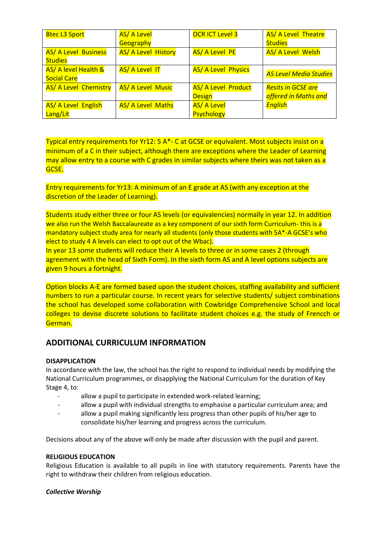| <b>Btec L3 Sport</b>            | <b>AS/ A Level</b>       | <b>OCR ICT Level 3</b>     | <b>AS/ A Level Theatre</b>    |
|---------------------------------|--------------------------|----------------------------|-------------------------------|
|                                 | Geography                |                            | <b>Studies</b>                |
| <b>AS/ A Level Business</b>     | AS/ A Level History      | <b>AS/ A Level PE</b>      | AS/ A Level Welsh             |
| <b>Studies</b>                  |                          |                            |                               |
| <b>AS/ A level Health &amp;</b> | <b>AS/ A Level IT</b>    | <b>AS/ A Level Physics</b> | <b>AS Level Media Studies</b> |
| <b>Social Care</b>              |                          |                            |                               |
| <b>AS/ A Level Chemistry</b>    | <b>AS/ A Level Music</b> | <b>AS/ A Level Product</b> | <b>Resits in GCSE are</b>     |
|                                 |                          | <b>Design</b>              | offered in Maths and          |
| <b>AS/ A Level English</b>      | <b>AS/ A Level Maths</b> | <b>AS/ A Level</b>         | <b>English</b>                |
| Lang/Lit                        |                          | <b>Psychology</b>          |                               |

Typical entry requirements for Yr12: 5 A\*- C at GCSE or equivalent. Most subjects insist on a minimum of a C in their subject, although there are exceptions where the Leader of Learning may allow entry to a course with C grades in similar subjects where theirs was not taken as a GCSE.

Entry requirements for Yr13: A minimum of an E grade at AS (with any exception at the discretion of the Leader of Learning).

Students study either three or four AS levels (or equivalencies) normally in year 12. In addition we also run the Welsh Baccalaureate as a key component of our sixth form Curriculum- this is a mandatory subject study area for nearly all students (only those students with 5A\*-A GCSE's who elect to study 4 A levels can elect to opt out of the Wbac).

In year 13 some students will reduce their A levels to three or in some cases 2 (through agreement with the head of Sixth Form). In the sixth form AS and A level options subjects are given 9 hours a fortnight.

Option blocks A-E are formed based upon the student choices, staffing availability and sufficient numbers to run a particular course. In recent years for selective students/ subject combinations the school has developed some collaboration with Cowbridge Comprehensive School and local colleges to devise discrete solutions to facilitate student choices e.g. the study of Frencch or German.

# **ADDITIONAL CURRICULUM INFORMATION**

# **DISAPPLICATION**

In accordance with the law, the school has the right to respond to individual needs by modifying the National Curriculum programmes, or disapplying the National Curriculum for the duration of Key Stage 4, to:

- allow a pupil to participate in extended work-related learning;
- allow a pupil with individual strengths to emphasise a particular curriculum area; and
- allow a pupil making significantly less progress than other pupils of his/her age to consolidate his/her learning and progress across the curriculum.

Decisions about any of the above will only be made after discussion with the pupil and parent.

## **RELIGIOUS EDUCATION**

Religious Education is available to all pupils in line with statutory requirements. Parents have the right to withdraw their children from religious education.

## *Collective Worship*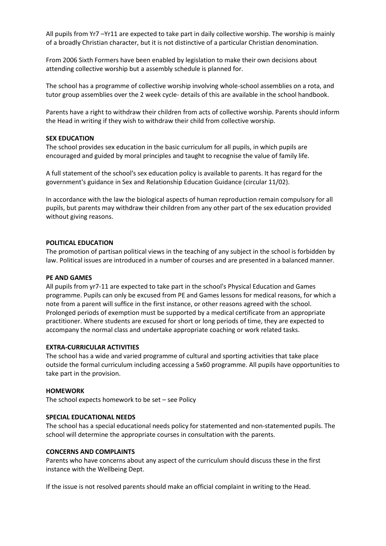All pupils from Yr7 –Yr11 are expected to take part in daily collective worship. The worship is mainly of a broadly Christian character, but it is not distinctive of a particular Christian denomination.

From 2006 Sixth Formers have been enabled by legislation to make their own decisions about attending collective worship but a assembly schedule is planned for.

The school has a programme of collective worship involving whole-school assemblies on a rota, and tutor group assemblies over the 2 week cycle- details of this are available in the school handbook.

Parents have a right to withdraw their children from acts of collective worship. Parents should inform the Head in writing if they wish to withdraw their child from collective worship.

#### **SEX EDUCATION**

The school provides sex education in the basic curriculum for all pupils, in which pupils are encouraged and guided by moral principles and taught to recognise the value of family life.

A full statement of the school's sex education policy is available to parents. It has regard for the government's guidance in Sex and Relationship Education Guidance (circular 11/02).

In accordance with the law the biological aspects of human reproduction remain compulsory for all pupils, but parents may withdraw their children from any other part of the sex education provided without giving reasons.

#### **POLITICAL EDUCATION**

The promotion of partisan political views in the teaching of any subject in the school is forbidden by law. Political issues are introduced in a number of courses and are presented in a balanced manner.

#### **PE AND GAMES**

All pupils from yr7-11 are expected to take part in the school's Physical Education and Games programme. Pupils can only be excused from PE and Games lessons for medical reasons, for which a note from a parent will suffice in the first instance, or other reasons agreed with the school. Prolonged periods of exemption must be supported by a medical certificate from an appropriate practitioner. Where students are excused for short or long periods of time, they are expected to accompany the normal class and undertake appropriate coaching or work related tasks.

#### **EXTRA-CURRICULAR ACTIVITIES**

The school has a wide and varied programme of cultural and sporting activities that take place outside the formal curriculum including accessing a 5x60 programme. All pupils have opportunities to take part in the provision.

#### **HOMEWORK**

The school expects homework to be set – see Policy

#### **SPECIAL EDUCATIONAL NEEDS**

The school has a special educational needs policy for statemented and non-statemented pupils. The school will determine the appropriate courses in consultation with the parents.

#### **CONCERNS AND COMPLAINTS**

Parents who have concerns about any aspect of the curriculum should discuss these in the first instance with the Wellbeing Dept.

If the issue is not resolved parents should make an official complaint in writing to the Head.